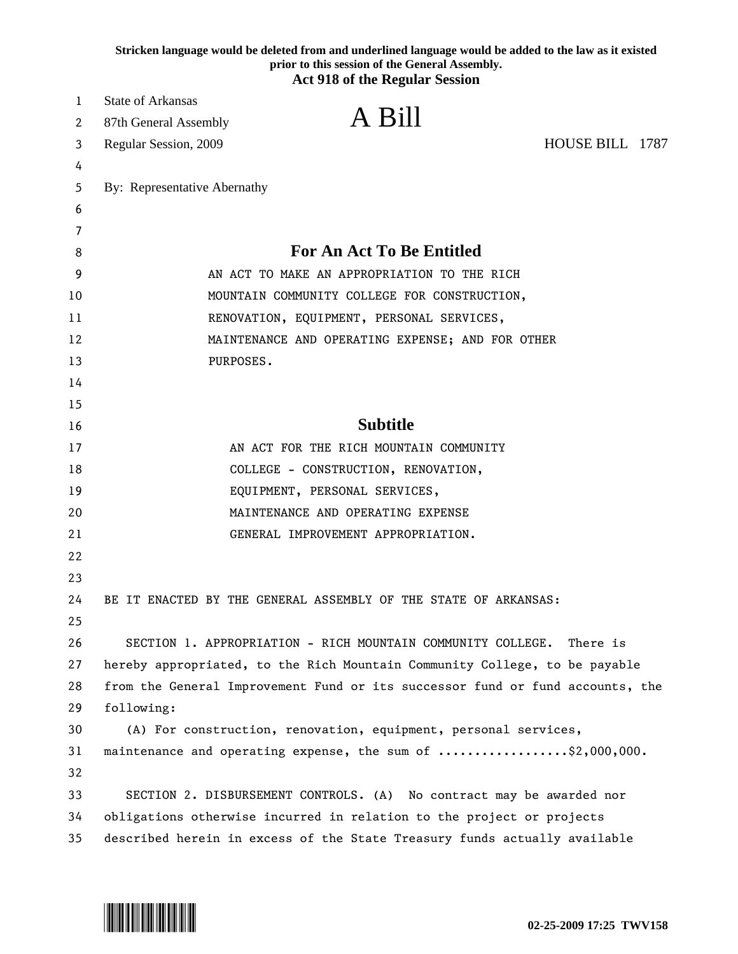| Stricken language would be deleted from and underlined language would be added to the law as it existed<br>prior to this session of the General Assembly.<br><b>Act 918 of the Regular Session</b> |                                                                               |                                                                           |  |
|----------------------------------------------------------------------------------------------------------------------------------------------------------------------------------------------------|-------------------------------------------------------------------------------|---------------------------------------------------------------------------|--|
| 1                                                                                                                                                                                                  | <b>State of Arkansas</b>                                                      |                                                                           |  |
| 2                                                                                                                                                                                                  | A Bill<br>87th General Assembly                                               |                                                                           |  |
| 3                                                                                                                                                                                                  | Regular Session, 2009                                                         | HOUSE BILL 1787                                                           |  |
| 4                                                                                                                                                                                                  |                                                                               |                                                                           |  |
| 5                                                                                                                                                                                                  | By: Representative Abernathy                                                  |                                                                           |  |
| 6                                                                                                                                                                                                  |                                                                               |                                                                           |  |
| 7                                                                                                                                                                                                  |                                                                               |                                                                           |  |
| 8                                                                                                                                                                                                  | <b>For An Act To Be Entitled</b>                                              |                                                                           |  |
| 9                                                                                                                                                                                                  |                                                                               | AN ACT TO MAKE AN APPROPRIATION TO THE RICH                               |  |
| 10                                                                                                                                                                                                 |                                                                               | MOUNTAIN COMMUNITY COLLEGE FOR CONSTRUCTION,                              |  |
| 11                                                                                                                                                                                                 |                                                                               | RENOVATION, EQUIPMENT, PERSONAL SERVICES,                                 |  |
| 12                                                                                                                                                                                                 | MAINTENANCE AND OPERATING EXPENSE; AND FOR OTHER                              |                                                                           |  |
| 13                                                                                                                                                                                                 | PURPOSES.                                                                     |                                                                           |  |
| 14                                                                                                                                                                                                 |                                                                               |                                                                           |  |
| 15                                                                                                                                                                                                 |                                                                               |                                                                           |  |
| 16                                                                                                                                                                                                 | <b>Subtitle</b>                                                               |                                                                           |  |
| 17                                                                                                                                                                                                 | AN ACT FOR THE RICH MOUNTAIN COMMUNITY                                        |                                                                           |  |
| 18                                                                                                                                                                                                 | COLLEGE - CONSTRUCTION, RENOVATION,                                           |                                                                           |  |
| 19                                                                                                                                                                                                 | EQUIPMENT, PERSONAL SERVICES,                                                 |                                                                           |  |
| 20                                                                                                                                                                                                 | MAINTENANCE AND OPERATING EXPENSE                                             |                                                                           |  |
| 21                                                                                                                                                                                                 | GENERAL IMPROVEMENT APPROPRIATION.                                            |                                                                           |  |
| 22                                                                                                                                                                                                 |                                                                               |                                                                           |  |
| 23                                                                                                                                                                                                 |                                                                               |                                                                           |  |
| 24                                                                                                                                                                                                 | BE IT ENACTED BY THE GENERAL ASSEMBLY OF THE STATE OF ARKANSAS:               |                                                                           |  |
| 25                                                                                                                                                                                                 |                                                                               |                                                                           |  |
| 26                                                                                                                                                                                                 | SECTION 1. APPROPRIATION - RICH MOUNTAIN COMMUNITY COLLEGE.                   | There is                                                                  |  |
| 27                                                                                                                                                                                                 | hereby appropriated, to the Rich Mountain Community College, to be payable    |                                                                           |  |
| 28                                                                                                                                                                                                 | from the General Improvement Fund or its successor fund or fund accounts, the |                                                                           |  |
| 29                                                                                                                                                                                                 | following:                                                                    |                                                                           |  |
| 30                                                                                                                                                                                                 | (A) For construction, renovation, equipment, personal services,               |                                                                           |  |
| 31                                                                                                                                                                                                 | maintenance and operating expense, the sum of \$2,000,000.                    |                                                                           |  |
| 32                                                                                                                                                                                                 |                                                                               |                                                                           |  |
| 33                                                                                                                                                                                                 | SECTION 2. DISBURSEMENT CONTROLS. (A) No contract may be awarded nor          |                                                                           |  |
| 34                                                                                                                                                                                                 | obligations otherwise incurred in relation to the project or projects         |                                                                           |  |
| 35                                                                                                                                                                                                 |                                                                               | described herein in excess of the State Treasury funds actually available |  |

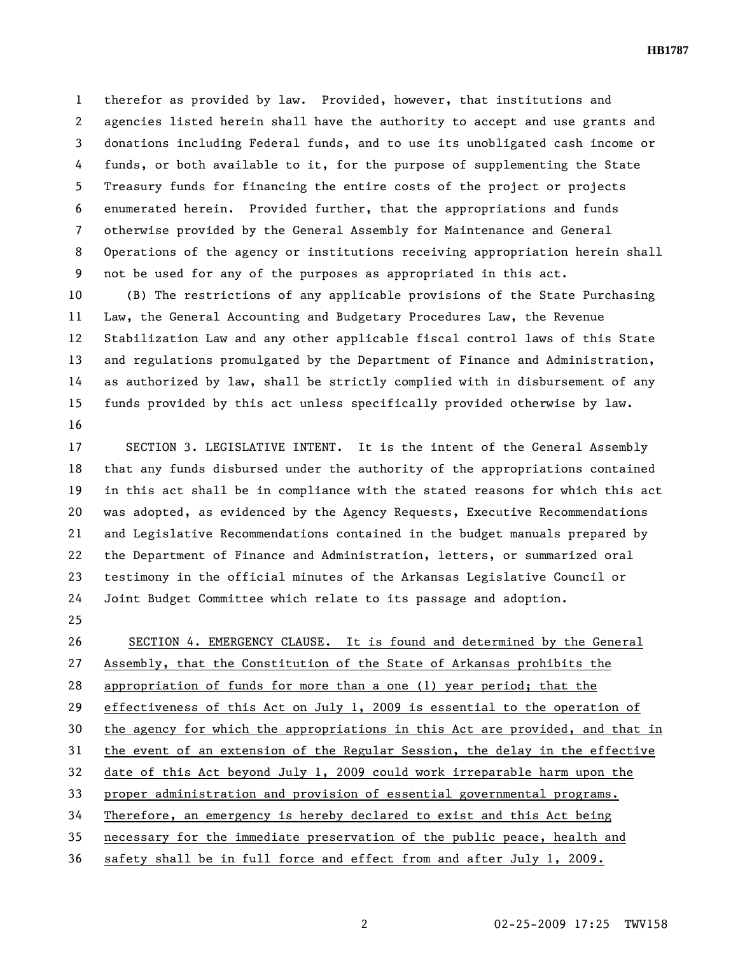**HB1787** 

1 therefor as provided by law. Provided, however, that institutions and 2 agencies listed herein shall have the authority to accept and use grants and 3 donations including Federal funds, and to use its unobligated cash income or 4 funds, or both available to it, for the purpose of supplementing the State 5 Treasury funds for financing the entire costs of the project or projects 6 enumerated herein. Provided further, that the appropriations and funds 7 otherwise provided by the General Assembly for Maintenance and General 8 Operations of the agency or institutions receiving appropriation herein shall 9 not be used for any of the purposes as appropriated in this act.

10 (B) The restrictions of any applicable provisions of the State Purchasing 11 Law, the General Accounting and Budgetary Procedures Law, the Revenue 12 Stabilization Law and any other applicable fiscal control laws of this State 13 and regulations promulgated by the Department of Finance and Administration, 14 as authorized by law, shall be strictly complied with in disbursement of any 15 funds provided by this act unless specifically provided otherwise by law. 16

17 SECTION 3. LEGISLATIVE INTENT. It is the intent of the General Assembly 18 that any funds disbursed under the authority of the appropriations contained 19 in this act shall be in compliance with the stated reasons for which this act 20 was adopted, as evidenced by the Agency Requests, Executive Recommendations 21 and Legislative Recommendations contained in the budget manuals prepared by 22 the Department of Finance and Administration, letters, or summarized oral 23 testimony in the official minutes of the Arkansas Legislative Council or 24 Joint Budget Committee which relate to its passage and adoption.

25

26 SECTION 4. EMERGENCY CLAUSE. It is found and determined by the General 27 Assembly, that the Constitution of the State of Arkansas prohibits the 28 appropriation of funds for more than a one (1) year period; that the 29 effectiveness of this Act on July 1, 2009 is essential to the operation of 30 the agency for which the appropriations in this Act are provided, and that in 31 the event of an extension of the Regular Session, the delay in the effective 32 date of this Act beyond July 1, 2009 could work irreparable harm upon the 33 proper administration and provision of essential governmental programs. 34 Therefore, an emergency is hereby declared to exist and this Act being 35 necessary for the immediate preservation of the public peace, health and 36 safety shall be in full force and effect from and after July 1, 2009.